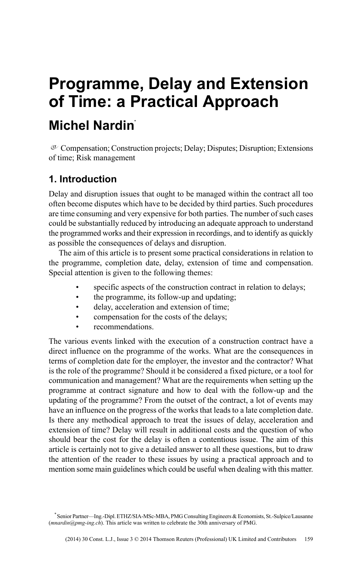# **Programme, Delay and Extension of Time: a Practical Approach Michel Nardin\***

 $\sigma$  Compensation; Construction projects; Delay; Disputes; Disruption; Extensions of time; Risk management

## **1. Introduction**

Delay and disruption issues that ought to be managed within the contract all too often become disputes which have to be decided by third parties. Such procedures are time consuming and very expensive for both parties. The number of such cases could be substantially reduced by introducing an adequate approach to understand the programmed works and their expression in recordings, and to identify as quickly as possible the consequences of delays and disruption.

The aim of this article is to present some practical considerations in relation to the programme, completion date, delay, extension of time and compensation. Special attention is given to the following themes:

- specific aspects of the construction contract in relation to delays;
- the programme, its follow-up and updating;
- delay, acceleration and extension of time;
- compensation for the costs of the delays;
- recommendations.

The various events linked with the execution of a construction contract have a direct influence on the programme of the works. What are the consequences in terms of completion date for the employer, the investor and the contractor? What is the role of the programme? Should it be considered a fixed picture, or a tool for communication and management? What are the requirements when setting up the programme at contract signature and how to deal with the follow-up and the updating of the programme? From the outset of the contract, a lot of events may have an influence on the progress of the works that leads to a late completion date. Is there any methodical approach to treat the issues of delay, acceleration and extension of time? Delay will result in additional costs and the question of who should bear the cost for the delay is often a contentious issue. The aim of this article is certainly not to give a detailed answer to all these questions, but to draw the attention of the reader to these issues by using a practical approach and to mention some main guidelines which could be useful when dealing with this matter.

<sup>\*</sup> Senior Partner—Ing.-Dipl. ETHZ/SIA-MSc-MBA, PMG Consulting Engineers & Economists, St.-Sulpice/Lausanne (*mnardin@pmg-ing.ch*). This article was written to celebrate the 30th anniversary of PMG.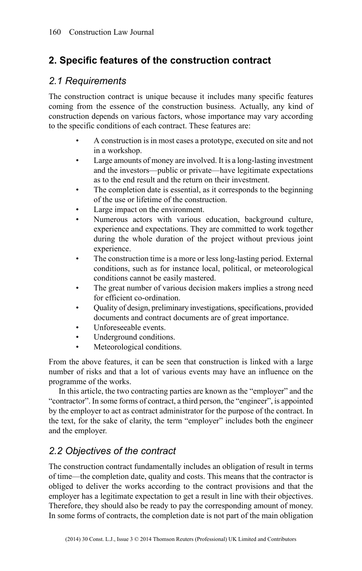## **2. Specific features of the construction contract**

#### *2.1 Requirements*

The construction contract is unique because it includes many specific features coming from the essence of the construction business. Actually, any kind of construction depends on various factors, whose importance may vary according to the specific conditions of each contract. These features are:

- A construction is in most cases a prototype, executed on site and not in a workshop.
- Large amounts of money are involved. It is a long-lasting investment and the investors—public or private—have legitimate expectations as to the end result and the return on their investment.
- The completion date is essential, as it corresponds to the beginning of the use or lifetime of the construction.
- Large impact on the environment.
- Numerous actors with various education, background culture, experience and expectations. They are committed to work together during the whole duration of the project without previous joint experience.
- The construction time is a more or less long-lasting period. External conditions, such as for instance local, political, or meteorological conditions cannot be easily mastered.
- The great number of various decision makers implies a strong need for efficient co-ordination.
- Quality of design, preliminary investigations, specifications, provided documents and contract documents are of great importance.
- Unforeseeable events.
- Underground conditions.
- Meteorological conditions.

From the above features, it can be seen that construction is linked with a large number of risks and that a lot of various events may have an influence on the programme of the works.

In this article, the two contracting parties are known as the "employer" and the "contractor". In some forms of contract, a third person, the "engineer", is appointed by the employer to act as contract administrator for the purpose of the contract. In the text, for the sake of clarity, the term "employer" includes both the engineer and the employer.

## *2.2 Objectives of the contract*

The construction contract fundamentally includes an obligation of result in terms of time—the completion date, quality and costs. This means that the contractor is obliged to deliver the works according to the contract provisions and that the employer has a legitimate expectation to get a result in line with their objectives. Therefore, they should also be ready to pay the corresponding amount of money. In some forms of contracts, the completion date is not part of the main obligation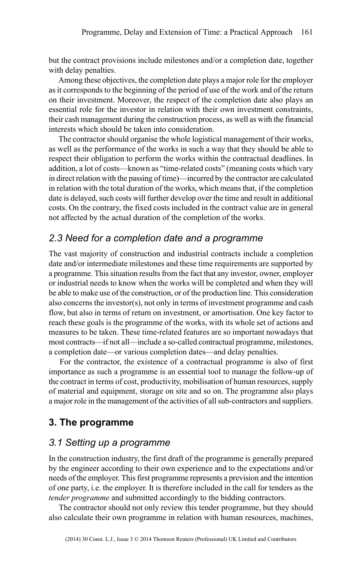but the contract provisions include milestones and/or a completion date, together with delay penalties.

Among these objectives, the completion date plays a major role for the employer as it corresponds to the beginning of the period of use of the work and of the return on their investment. Moreover, the respect of the completion date also plays an essential role for the investor in relation with their own investment constraints, their cash management during the construction process, as well as with the financial interests which should be taken into consideration.

The contractor should organise the whole logistical management of their works, as well as the performance of the works in such a way that they should be able to respect their obligation to perform the works within the contractual deadlines. In addition, a lot of costs—known as "time-related costs" (meaning costs which vary in direct relation with the passing of time)—incurred by the contractor are calculated in relation with the total duration of the works, which means that, if the completion date is delayed, such costs will further develop over the time and result in additional costs. On the contrary, the fixed costs included in the contract value are in general not affected by the actual duration of the completion of the works.

#### *2.3 Need for a completion date and a programme*

The vast majority of construction and industrial contracts include a completion date and/or intermediate milestones and these time requirements are supported by a programme. This situation results from the fact that any investor, owner, employer or industrial needs to know when the works will be completed and when they will be able to make use of the construction, or of the production line. This consideration also concerns the investor(s), not only in terms of investment programme and cash flow, but also in terms of return on investment, or amortisation. One key factor to reach these goals is the programme of the works, with its whole set of actions and measures to be taken. These time-related features are so important nowadays that most contracts—if not all—include a so-called contractual programme, milestones, a completion date—or various completion dates—and delay penalties.

For the contractor, the existence of a contractual programme is also of first importance as such a programme is an essential tool to manage the follow-up of the contract in terms of cost, productivity, mobilisation of human resources, supply of material and equipment, storage on site and so on. The programme also plays a major role in the management of the activities of all sub-contractors and suppliers.

#### **3. The programme**

#### *3.1 Setting up a programme*

In the construction industry, the first draft of the programme is generally prepared by the engineer according to their own experience and to the expectations and/or needs of the employer. This first programme represents a prevision and the intention of one party, i.e. the employer. It is therefore included in the call for tenders as the *tender programme* and submitted accordingly to the bidding contractors.

The contractor should not only review this tender programme, but they should also calculate their own programme in relation with human resources, machines,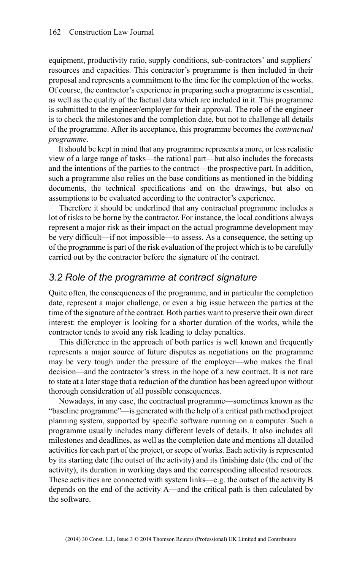equipment, productivity ratio, supply conditions, sub-contractors' and suppliers' resources and capacities. This contractor's programme is then included in their proposal and represents a commitment to the time for the completion of the works. Of course, the contractor's experience in preparing such a programme is essential, as well as the quality of the factual data which are included in it. This programme is submitted to the engineer/employer for their approval. The role of the engineer is to check the milestones and the completion date, but not to challenge all details of the programme. After its acceptance, this programme becomes the *contractual programme*.

It should be kept in mind that any programme represents a more, or less realistic view of a large range of tasks—the rational part—but also includes the forecasts and the intentions of the parties to the contract—the prospective part. In addition, such a programme also relies on the base conditions as mentioned in the bidding documents, the technical specifications and on the drawings, but also on assumptions to be evaluated according to the contractor's experience.

Therefore it should be underlined that any contractual programme includes a lot of risks to be borne by the contractor. For instance, the local conditions always represent a major risk as their impact on the actual programme development may be very difficult—if not impossible—to assess. As a consequence, the setting up of the programme is part of the risk evaluation of the project which is to be carefully carried out by the contractor before the signature of the contract.

#### *3.2 Role of the programme at contract signature*

Quite often, the consequences of the programme, and in particular the completion date, represent a major challenge, or even a big issue between the parties at the time of the signature of the contract. Both parties want to preserve their own direct interest: the employer is looking for a shorter duration of the works, while the contractor tends to avoid any risk leading to delay penalties.

This difference in the approach of both parties is well known and frequently represents a major source of future disputes as negotiations on the programme may be very tough under the pressure of the employer—who makes the final decision—and the contractor's stress in the hope of a new contract. It is not rare to state at a later stage that a reduction of the duration has been agreed upon without thorough consideration of all possible consequences.

Nowadays, in any case, the contractual programme—sometimes known as the "baseline programme"—is generated with the help of a critical path method project planning system, supported by specific software running on a computer. Such a programme usually includes many different levels of details. It also includes all milestones and deadlines, as well as the completion date and mentions all detailed activities for each part of the project, or scope of works. Each activity is represented by its starting date (the outset of the activity) and its finishing date (the end of the activity), its duration in working days and the corresponding allocated resources. These activities are connected with system links—e.g. the outset of the activity B depends on the end of the activity A—and the critical path is then calculated by the software.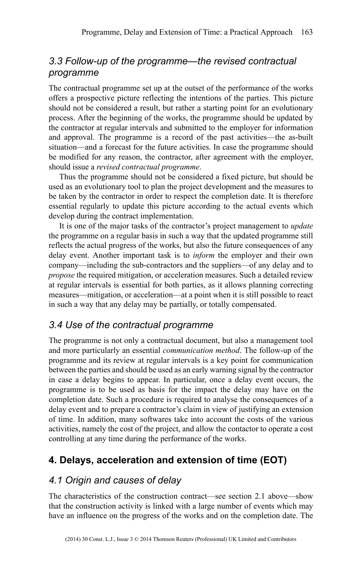## *3.3 Follow-up of the programme—the revised contractual programme*

The contractual programme set up at the outset of the performance of the works offers a prospective picture reflecting the intentions of the parties. This picture should not be considered a result, but rather a starting point for an evolutionary process. After the beginning of the works, the programme should be updated by the contractor at regular intervals and submitted to the employer for information and approval. The programme is a record of the past activities—the as-built situation—and a forecast for the future activities. In case the programme should be modified for any reason, the contractor, after agreement with the employer, should issue a *revised contractual programme*.

Thus the programme should not be considered a fixed picture, but should be used as an evolutionary tool to plan the project development and the measures to be taken by the contractor in order to respect the completion date. It is therefore essential regularly to update this picture according to the actual events which develop during the contract implementation.

It is one of the major tasks of the contractor's project management to *update* the programme on a regular basis in such a way that the updated programme still reflects the actual progress of the works, but also the future consequences of any delay event. Another important task is to *inform* the employer and their own company—including the sub-contractors and the suppliers—of any delay and to *propose* the required mitigation, or acceleration measures. Such a detailed review at regular intervals is essential for both parties, as it allows planning correcting measures—mitigation, or acceleration—at a point when it is still possible to react in such a way that any delay may be partially, or totally compensated.

#### *3.4 Use of the contractual programme*

The programme is not only a contractual document, but also a management tool and more particularly an essential *communication method*. The follow-up of the programme and its review at regular intervals is a key point for communication between the parties and should be used as an early warning signal by the contractor in case a delay begins to appear. In particular, once a delay event occurs, the programme is to be used as basis for the impact the delay may have on the completion date. Such a procedure is required to analyse the consequences of a delay event and to prepare a contractor's claim in view of justifying an extension of time. In addition, many softwares take into account the costs of the various activities, namely the cost of the project, and allow the contactor to operate a cost controlling at any time during the performance of the works.

## **4. Delays, acceleration and extension of time (EOT)**

#### *4.1 Origin and causes of delay*

The characteristics of the construction contract—see section 2.1 above—show that the construction activity is linked with a large number of events which may have an influence on the progress of the works and on the completion date. The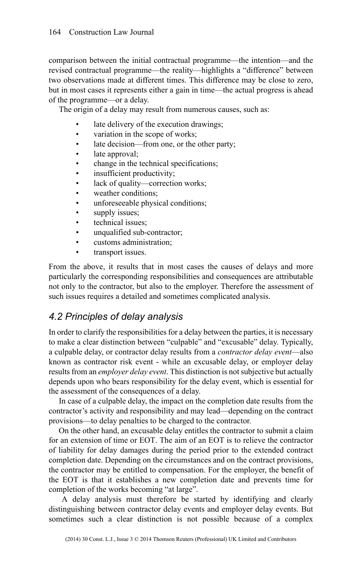comparison between the initial contractual programme—the intention—and the revised contractual programme—the reality—highlights a "difference" between two observations made at different times. This difference may be close to zero, but in most cases it represents either a gain in time—the actual progress is ahead of the programme—or a delay.

The origin of a delay may result from numerous causes, such as:

- late delivery of the execution drawings;
- variation in the scope of works;
- late decision—from one, or the other party;
- late approval;
- change in the technical specifications;
- insufficient productivity;
- lack of quality—correction works;
- weather conditions;
- unforeseeable physical conditions;
- supply issues;
- technical issues;
- unqualified sub-contractor;
- customs administration;
- transport issues.

From the above, it results that in most cases the causes of delays and more particularly the corresponding responsibilities and consequences are attributable not only to the contractor, but also to the employer. Therefore the assessment of such issues requires a detailed and sometimes complicated analysis.

#### *4.2 Principles of delay analysis*

In order to clarify the responsibilities for a delay between the parties, it is necessary to make a clear distinction between "culpable" and "excusable" delay. Typically, a culpable delay, or contractor delay results from a *contractor delay event*—also known as contractor risk event - while an excusable delay, or employer delay results from an *employer delay event*. This distinction is not subjective but actually depends upon who bears responsibility for the delay event, which is essential for the assessment of the consequences of a delay.

In case of a culpable delay, the impact on the completion date results from the contractor's activity and responsibility and may lead—depending on the contract provisions—to delay penalties to be charged to the contractor.

On the other hand, an excusable delay entitles the contractor to submit a claim for an extension of time or EOT. The aim of an EOT is to relieve the contractor of liability for delay damages during the period prior to the extended contract completion date. Depending on the circumstances and on the contract provisions, the contractor may be entitled to compensation. For the employer, the benefit of the EOT is that it establishes a new completion date and prevents time for completion of the works becoming "at large".

A delay analysis must therefore be started by identifying and clearly distinguishing between contractor delay events and employer delay events. But sometimes such a clear distinction is not possible because of a complex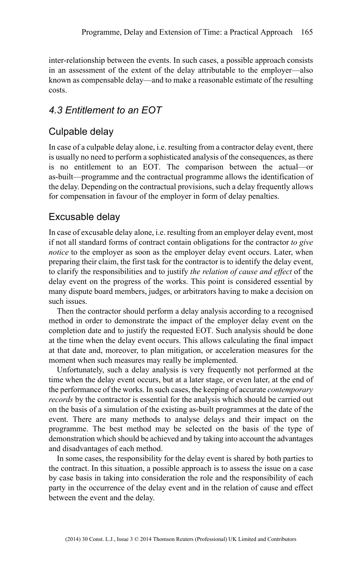inter-relationship between the events. In such cases, a possible approach consists in an assessment of the extent of the delay attributable to the employer—also known as compensable delay—and to make a reasonable estimate of the resulting costs.

## *4.3 Entitlement to an EOT*

## Culpable delay

In case of a culpable delay alone, i.e. resulting from a contractor delay event, there is usually no need to perform a sophisticated analysis of the consequences, as there is no entitlement to an EOT. The comparison between the actual—or as-built—programme and the contractual programme allows the identification of the delay. Depending on the contractual provisions, such a delay frequently allows for compensation in favour of the employer in form of delay penalties.

#### Excusable delay

In case of excusable delay alone, i.e. resulting from an employer delay event, most if not all standard forms of contract contain obligations for the contractor *to give notice* to the employer as soon as the employer delay event occurs. Later, when preparing their claim, the first task for the contractor is to identify the delay event, to clarify the responsibilities and to justify *the relation of cause and effect* of the delay event on the progress of the works. This point is considered essential by many dispute board members, judges, or arbitrators having to make a decision on such issues.

Then the contractor should perform a delay analysis according to a recognised method in order to demonstrate the impact of the employer delay event on the completion date and to justify the requested EOT. Such analysis should be done at the time when the delay event occurs. This allows calculating the final impact at that date and, moreover, to plan mitigation, or acceleration measures for the moment when such measures may really be implemented.

Unfortunately, such a delay analysis is very frequently not performed at the time when the delay event occurs, but at a later stage, or even later, at the end of the performance of the works. In such cases, the keeping of accurate *contemporary records* by the contractor is essential for the analysis which should be carried out on the basis of a simulation of the existing as-built programmes at the date of the event. There are many methods to analyse delays and their impact on the programme. The best method may be selected on the basis of the type of demonstration which should be achieved and by taking into account the advantages and disadvantages of each method.

In some cases, the responsibility for the delay event is shared by both parties to the contract. In this situation, a possible approach is to assess the issue on a case by case basis in taking into consideration the role and the responsibility of each party in the occurrence of the delay event and in the relation of cause and effect between the event and the delay.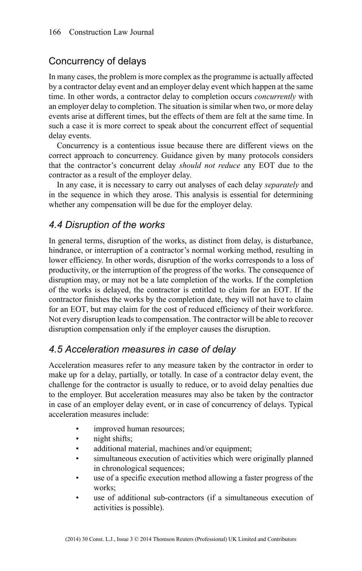### Concurrency of delays

In many cases, the problem is more complex as the programme is actually affected by a contractor delay event and an employer delay event which happen at the same time. In other words, a contractor delay to completion occurs *concurrently* with an employer delay to completion. The situation is similar when two, or more delay events arise at different times, but the effects of them are felt at the same time. In such a case it is more correct to speak about the concurrent effect of sequential delay events.

Concurrency is a contentious issue because there are different views on the correct approach to concurrency. Guidance given by many protocols considers that the contractor's concurrent delay *should not reduce* any EOT due to the contractor as a result of the employer delay.

In any case, it is necessary to carry out analyses of each delay *separately* and in the sequence in which they arose. This analysis is essential for determining whether any compensation will be due for the employer delay.

#### *4.4 Disruption of the works*

In general terms, disruption of the works, as distinct from delay, is disturbance, hindrance, or interruption of a contractor's normal working method, resulting in lower efficiency. In other words, disruption of the works corresponds to a loss of productivity, or the interruption of the progress of the works. The consequence of disruption may, or may not be a late completion of the works. If the completion of the works is delayed, the contractor is entitled to claim for an EOT. If the contractor finishes the works by the completion date, they will not have to claim for an EOT, but may claim for the cost of reduced efficiency of their workforce. Not every disruption leads to compensation. The contractor will be able to recover disruption compensation only if the employer causes the disruption.

#### *4.5 Acceleration measures in case of delay*

Acceleration measures refer to any measure taken by the contractor in order to make up for a delay, partially, or totally. In case of a contractor delay event, the challenge for the contractor is usually to reduce, or to avoid delay penalties due to the employer. But acceleration measures may also be taken by the contractor in case of an employer delay event, or in case of concurrency of delays. Typical acceleration measures include:

- improved human resources;
- night shifts:
- additional material, machines and/or equipment;
- simultaneous execution of activities which were originally planned in chronological sequences;
- use of a specific execution method allowing a faster progress of the works;
- use of additional sub-contractors (if a simultaneous execution of activities is possible).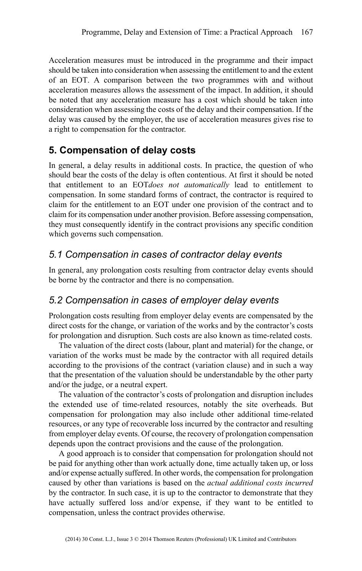Acceleration measures must be introduced in the programme and their impact should be taken into consideration when assessing the entitlement to and the extent of an EOT. A comparison between the two programmes with and without acceleration measures allows the assessment of the impact. In addition, it should be noted that any acceleration measure has a cost which should be taken into consideration when assessing the costs of the delay and their compensation. If the delay was caused by the employer, the use of acceleration measures gives rise to a right to compensation for the contractor.

## **5. Compensation of delay costs**

In general, a delay results in additional costs. In practice, the question of who should bear the costs of the delay is often contentious. At first it should be noted that entitlement to an EOT*does not automatically* lead to entitlement to compensation. In some standard forms of contract, the contractor is required to claim for the entitlement to an EOT under one provision of the contract and to claim for its compensation under another provision. Before assessing compensation, they must consequently identify in the contract provisions any specific condition which governs such compensation.

#### *5.1 Compensation in cases of contractor delay events*

In general, any prolongation costs resulting from contractor delay events should be borne by the contractor and there is no compensation.

## *5.2 Compensation in cases of employer delay events*

Prolongation costs resulting from employer delay events are compensated by the direct costs for the change, or variation of the works and by the contractor's costs for prolongation and disruption. Such costs are also known as time-related costs.

The valuation of the direct costs (labour, plant and material) for the change, or variation of the works must be made by the contractor with all required details according to the provisions of the contract (variation clause) and in such a way that the presentation of the valuation should be understandable by the other party and/or the judge, or a neutral expert.

The valuation of the contractor's costs of prolongation and disruption includes the extended use of time-related resources, notably the site overheads. But compensation for prolongation may also include other additional time-related resources, or any type of recoverable loss incurred by the contractor and resulting from employer delay events. Of course, the recovery of prolongation compensation depends upon the contract provisions and the cause of the prolongation.

A good approach is to consider that compensation for prolongation should not be paid for anything other than work actually done, time actually taken up, or loss and/or expense actually suffered. In other words, the compensation for prolongation caused by other than variations is based on the *actual additional costs incurred* by the contractor. In such case, it is up to the contractor to demonstrate that they have actually suffered loss and/or expense, if they want to be entitled to compensation, unless the contract provides otherwise.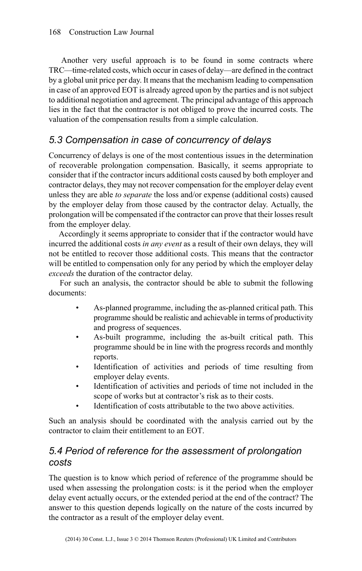Another very useful approach is to be found in some contracts where TRC—time-related costs, which occur in cases of delay—are defined in the contract by a global unit price per day. It means that the mechanism leading to compensation in case of an approved EOT is already agreed upon by the parties and is not subject to additional negotiation and agreement. The principal advantage of this approach lies in the fact that the contractor is not obliged to prove the incurred costs. The valuation of the compensation results from a simple calculation.

## *5.3 Compensation in case of concurrency of delays*

Concurrency of delays is one of the most contentious issues in the determination of recoverable prolongation compensation. Basically, it seems appropriate to consider that if the contractor incurs additional costs caused by both employer and contractor delays, they may not recover compensation for the employer delay event unless they are able *to separate* the loss and/or expense (additional costs) caused by the employer delay from those caused by the contractor delay. Actually, the prolongation will be compensated if the contractor can prove that their losses result from the employer delay.

Accordingly it seems appropriate to consider that if the contractor would have incurred the additional costs *in any event* as a result of their own delays, they will not be entitled to recover those additional costs. This means that the contractor will be entitled to compensation only for any period by which the employer delay *exceeds* the duration of the contractor delay.

For such an analysis, the contractor should be able to submit the following documents:

- As-planned programme, including the as-planned critical path. This programme should be realistic and achievable in terms of productivity and progress of sequences.
- As-built programme, including the as-built critical path. This programme should be in line with the progress records and monthly reports.
- Identification of activities and periods of time resulting from employer delay events.
- Identification of activities and periods of time not included in the scope of works but at contractor's risk as to their costs.
- Identification of costs attributable to the two above activities.

Such an analysis should be coordinated with the analysis carried out by the contractor to claim their entitlement to an EOT.

## *5.4 Period of reference for the assessment of prolongation costs*

The question is to know which period of reference of the programme should be used when assessing the prolongation costs: is it the period when the employer delay event actually occurs, or the extended period at the end of the contract? The answer to this question depends logically on the nature of the costs incurred by the contractor as a result of the employer delay event.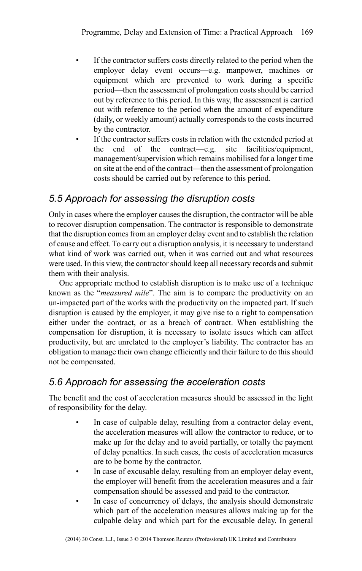- If the contractor suffers costs directly related to the period when the employer delay event occurs—e.g. manpower, machines or equipment which are prevented to work during a specific period—then the assessment of prolongation costs should be carried out by reference to this period. In this way, the assessment is carried out with reference to the period when the amount of expenditure (daily, or weekly amount) actually corresponds to the costs incurred by the contractor.
- If the contractor suffers costs in relation with the extended period at the end of the contract—e.g. site facilities/equipment, management/supervision which remains mobilised for a longer time on site at the end of the contract—then the assessment of prolongation costs should be carried out by reference to this period.

## *5.5 Approach for assessing the disruption costs*

Only in cases where the employer causes the disruption, the contractor will be able to recover disruption compensation. The contractor is responsible to demonstrate that the disruption comes from an employer delay event and to establish the relation of cause and effect. To carry out a disruption analysis, it is necessary to understand what kind of work was carried out, when it was carried out and what resources were used. In this view, the contractor should keep all necessary records and submit them with their analysis.

One appropriate method to establish disruption is to make use of a technique known as the "*measured mile*". The aim is to compare the productivity on an un-impacted part of the works with the productivity on the impacted part. If such disruption is caused by the employer, it may give rise to a right to compensation either under the contract, or as a breach of contract. When establishing the compensation for disruption, it is necessary to isolate issues which can affect productivity, but are unrelated to the employer's liability. The contractor has an obligation to manage their own change efficiently and their failure to do this should not be compensated.

#### *5.6 Approach for assessing the acceleration costs*

The benefit and the cost of acceleration measures should be assessed in the light of responsibility for the delay.

- In case of culpable delay, resulting from a contractor delay event, the acceleration measures will allow the contractor to reduce, or to make up for the delay and to avoid partially, or totally the payment of delay penalties. In such cases, the costs of acceleration measures are to be borne by the contractor.
- In case of excusable delay, resulting from an employer delay event, the employer will benefit from the acceleration measures and a fair compensation should be assessed and paid to the contractor.
- In case of concurrency of delays, the analysis should demonstrate which part of the acceleration measures allows making up for the culpable delay and which part for the excusable delay. In general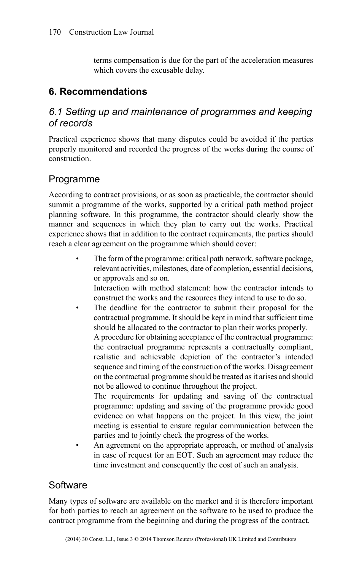terms compensation is due for the part of the acceleration measures which covers the excusable delay.

### **6. Recommendations**

### *6.1 Setting up and maintenance of programmes and keeping of records*

Practical experience shows that many disputes could be avoided if the parties properly monitored and recorded the progress of the works during the course of construction.

## Programme

According to contract provisions, or as soon as practicable, the contractor should summit a programme of the works, supported by a critical path method project planning software. In this programme, the contractor should clearly show the manner and sequences in which they plan to carry out the works. Practical experience shows that in addition to the contract requirements, the parties should reach a clear agreement on the programme which should cover:

The form of the programme: critical path network, software package, relevant activities, milestones, date of completion, essential decisions, or approvals and so on. Interaction with method statement: how the contractor intends to

construct the works and the resources they intend to use to do so.

• The deadline for the contractor to submit their proposal for the contractual programme. It should be kept in mind that sufficient time should be allocated to the contractor to plan their works properly. A procedure for obtaining acceptance of the contractual programme: the contractual programme represents a contractually compliant, realistic and achievable depiction of the contractor's intended sequence and timing of the construction of the works. Disagreement on the contractual programme should be treated as it arises and should not be allowed to continue throughout the project.

The requirements for updating and saving of the contractual programme: updating and saving of the programme provide good evidence on what happens on the project. In this view, the joint meeting is essential to ensure regular communication between the parties and to jointly check the progress of the works.

An agreement on the appropriate approach, or method of analysis in case of request for an EOT. Such an agreement may reduce the time investment and consequently the cost of such an analysis.

## **Software**

Many types of software are available on the market and it is therefore important for both parties to reach an agreement on the software to be used to produce the contract programme from the beginning and during the progress of the contract.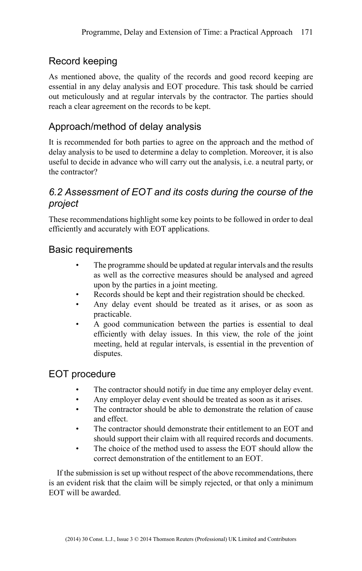## Record keeping

As mentioned above, the quality of the records and good record keeping are essential in any delay analysis and EOT procedure. This task should be carried out meticulously and at regular intervals by the contractor. The parties should reach a clear agreement on the records to be kept.

## Approach/method of delay analysis

It is recommended for both parties to agree on the approach and the method of delay analysis to be used to determine a delay to completion. Moreover, it is also useful to decide in advance who will carry out the analysis, i.e. a neutral party, or the contractor?

## *6.2 Assessment of EOT and its costs during the course of the project*

These recommendations highlight some key points to be followed in order to deal efficiently and accurately with EOT applications.

## Basic requirements

- The programme should be updated at regular intervals and the results as well as the corrective measures should be analysed and agreed upon by the parties in a joint meeting.
- Records should be kept and their registration should be checked.
- Any delay event should be treated as it arises, or as soon as practicable.
- A good communication between the parties is essential to deal efficiently with delay issues. In this view, the role of the joint meeting, held at regular intervals, is essential in the prevention of disputes.

#### EOT procedure

- The contractor should notify in due time any employer delay event.
- Any employer delay event should be treated as soon as it arises.
- The contractor should be able to demonstrate the relation of cause and effect.
- The contractor should demonstrate their entitlement to an EOT and should support their claim with all required records and documents.
- The choice of the method used to assess the EOT should allow the correct demonstration of the entitlement to an EOT.

If the submission is set up without respect of the above recommendations, there is an evident risk that the claim will be simply rejected, or that only a minimum EOT will be awarded.